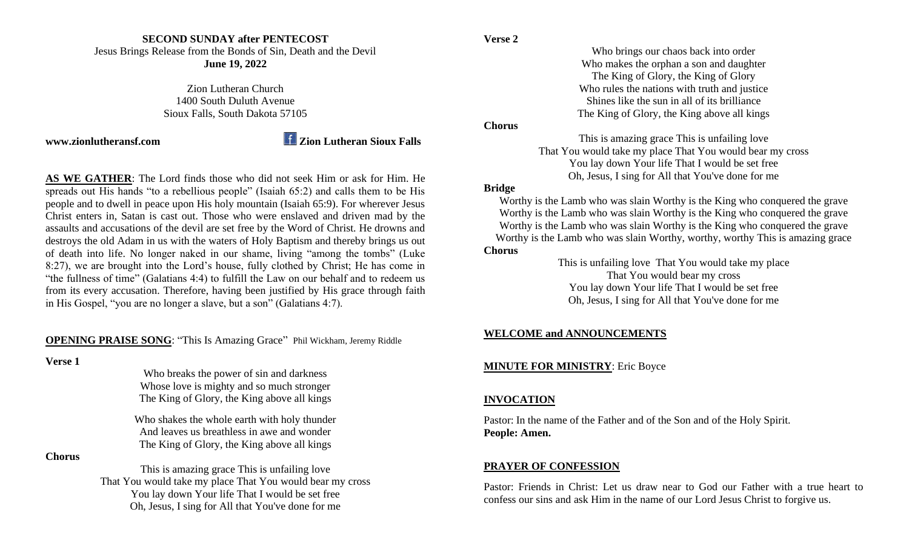### **SECOND SUNDAY after PENTECOST** Jesus Brings Release from the Bonds of Sin, Death and the Devil **June 19, 2022**

Zion Lutheran Church 1400 South Duluth Avenue Sioux Falls, South Dakota 57105

**www.zionlutheransf.com 2009** 

**AS WE GATHER**: The Lord finds those who did not seek Him or ask for Him. He spreads out His hands "to a rebellious people" (Isaiah 65:2) and calls them to be His people and to dwell in peace upon His holy mountain (Isaiah 65:9). For wherever Jesus Christ enters in, Satan is cast out. Those who were enslaved and driven mad by the assaults and accusations of the devil are set free by the Word of Christ. He drowns and destroys the old Adam in us with the waters of Holy Baptism and thereby brings us out of death into life. No longer naked in our shame, living "among the tombs" (Luke 8:27), we are brought into the Lord's house, fully clothed by Christ; He has come in "the fullness of time" (Galatians 4:4) to fulfill the Law on our behalf and to redeem us from its every accusation. Therefore, having been justified by His grace through faith in His Gospel, "you are no longer a slave, but a son" (Galatians 4:7).

#### **OPENING PRAISE SONG**: "This Is Amazing Grace" Phil Wickham, Jeremy Riddle

#### **Verse 1**

Who breaks the power of sin and darkness Whose love is mighty and so much stronger The King of Glory, the King above all kings

Who shakes the whole earth with holy thunder And leaves us breathless in awe and wonder The King of Glory, the King above all kings

**Chorus**

This is amazing grace This is unfailing love That You would take my place That You would bear my cross You lay down Your life That I would be set free Oh, Jesus, I sing for All that You've done for me

#### **Verse 2**

Who brings our chaos back into order Who makes the orphan a son and daughter The King of Glory, the King of Glory Who rules the nations with truth and justice Shines like the sun in all of its brilliance The King of Glory, the King above all kings

#### **Chorus**

This is amazing grace This is unfailing love That You would take my place That You would bear my cross You lay down Your life That I would be set free Oh, Jesus, I sing for All that You've done for me

### **Bridge**

Worthy is the Lamb who was slain Worthy is the King who conquered the grave Worthy is the Lamb who was slain Worthy is the King who conquered the grave Worthy is the Lamb who was slain Worthy is the King who conquered the grave Worthy is the Lamb who was slain Worthy, worthy, worthy This is amazing grace

#### **Chorus**

This is unfailing love That You would take my place That You would bear my cross You lay down Your life That I would be set free Oh, Jesus, I sing for All that You've done for me

## **WELCOME and ANNOUNCEMENTS**

#### **MINUTE FOR MINISTRY**: Eric Boyce

#### **INVOCATION**

Pastor: In the name of the Father and of the Son and of the Holy Spirit. **People: Amen.**

## **PRAYER OF CONFESSION**

Pastor: Friends in Christ: Let us draw near to God our Father with a true heart to confess our sins and ask Him in the name of our Lord Jesus Christ to forgive us.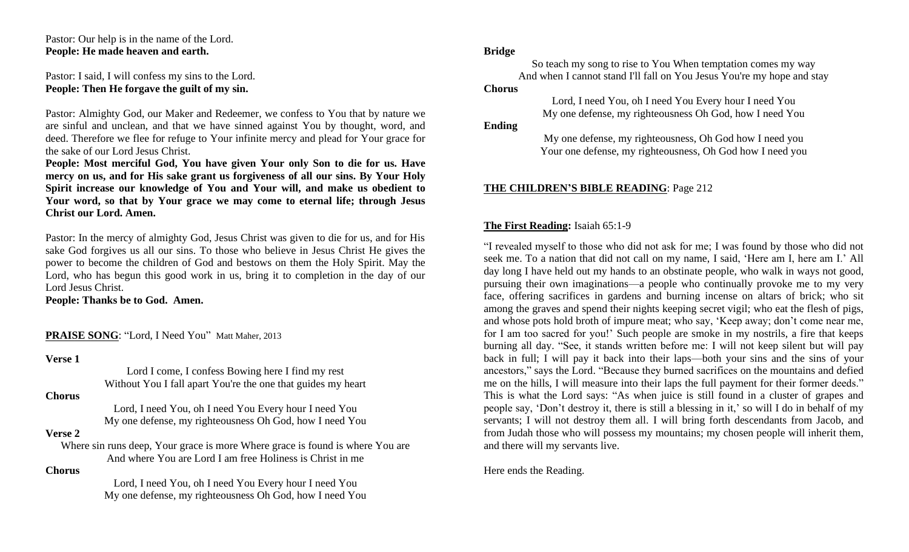Pastor: Our help is in the name of the Lord. **People: He made heaven and earth.** 

Pastor: I said, I will confess my sins to the Lord. **People: Then He forgave the guilt of my sin.**

Pastor: Almighty God, our Maker and Redeemer, we confess to You that by nature we are sinful and unclean, and that we have sinned against You by thought, word, and deed. Therefore we flee for refuge to Your infinite mercy and plead for Your grace for the sake of our Lord Jesus Christ.

**People: Most merciful God, You have given Your only Son to die for us. Have mercy on us, and for His sake grant us forgiveness of all our sins. By Your Holy Spirit increase our knowledge of You and Your will, and make us obedient to Your word, so that by Your grace we may come to eternal life; through Jesus Christ our Lord. Amen.**

Pastor: In the mercy of almighty God, Jesus Christ was given to die for us, and for His sake God forgives us all our sins. To those who believe in Jesus Christ He gives the power to become the children of God and bestows on them the Holy Spirit. May the Lord, who has begun this good work in us, bring it to completion in the day of our Lord Jesus Christ.

**People: Thanks be to God. Amen.**

PRAISE SONG: "Lord, I Need You" Matt Maher, 2013

#### **Verse 1**

Lord I come, I confess Bowing here I find my rest Without You I fall apart You're the one that guides my heart

#### **Chorus**

Lord, I need You, oh I need You Every hour I need You My one defense, my righteousness Oh God, how I need You

#### **Verse 2**

Where sin runs deep, Your grace is more Where grace is found is where You are And where You are Lord I am free Holiness is Christ in me

#### **Chorus**

Lord, I need You, oh I need You Every hour I need You My one defense, my righteousness Oh God, how I need You

#### **Bridge**

So teach my song to rise to You When temptation comes my way And when I cannot stand I'll fall on You Jesus You're my hope and stay

#### **Chorus**

Lord, I need You, oh I need You Every hour I need You My one defense, my righteousness Oh God, how I need You

#### **Ending**

My one defense, my righteousness, Oh God how I need you Your one defense, my righteousness, Oh God how I need you

#### **THE CHILDREN'S BIBLE READING**: Page 212

## **The First Reading:** Isaiah 65:1-9

"I revealed myself to those who did not ask for me; I was found by those who did not seek me. To a nation that did not call on my name, I said, 'Here am I, here am I.' All day long I have held out my hands to an obstinate people, who walk in ways not good, pursuing their own imaginations—a people who continually provoke me to my very face, offering sacrifices in gardens and burning incense on altars of brick; who sit among the graves and spend their nights keeping secret vigil; who eat the flesh of pigs, and whose pots hold broth of impure meat; who say, 'Keep away; don't come near me, for I am too sacred for you!' Such people are smoke in my nostrils, a fire that keeps burning all day. "See, it stands written before me: I will not keep silent but will pay back in full; I will pay it back into their laps—both your sins and the sins of your ancestors," says the Lord. "Because they burned sacrifices on the mountains and defied me on the hills, I will measure into their laps the full payment for their former deeds." This is what the Lord says: "As when juice is still found in a cluster of grapes and people say, 'Don't destroy it, there is still a blessing in it,' so will I do in behalf of my servants; I will not destroy them all. I will bring forth descendants from Jacob, and from Judah those who will possess my mountains; my chosen people will inherit them, and there will my servants live.

Here ends the Reading.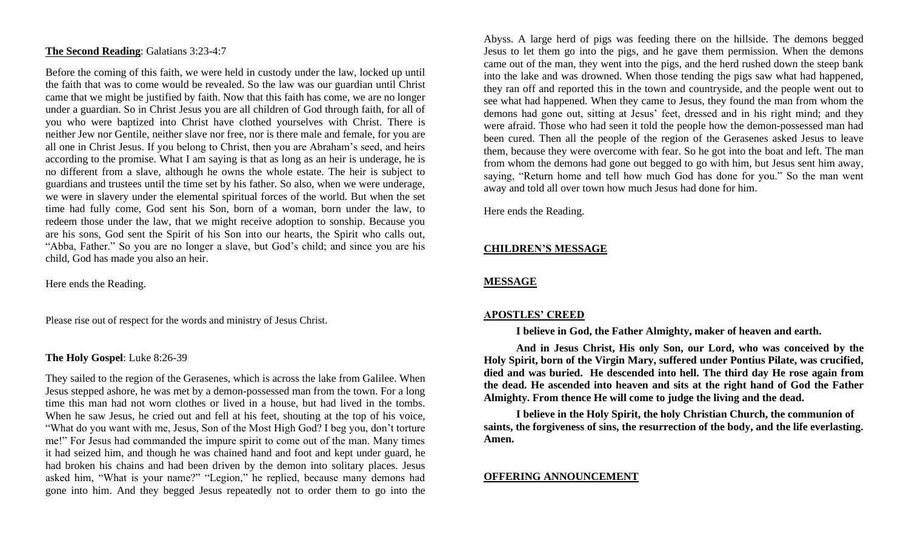#### **The Second Reading**: Galatians 3:23-4:7

Before the coming of this faith, we were held in custody under the law, locked up until the faith that was to come would be revealed. So the law was our guardian until Christ came that we might be justified by faith. Now that this faith has come, we are no longer under a guardian. So in Christ Jesus you are all children of God through faith, for all of you who were baptized into Christ have clothed yourselves with Christ. There is neither Jew nor Gentile, neither slave nor free, nor is there male and female, for you are all one in Christ Jesus. If you belong to Christ, then you are Abraham's seed, and heirs according to the promise. What I am saying is that as long as an heir is underage, he is no different from a slave, although he owns the whole estate. The heir is subject to guardians and trustees until the time set by his father. So also, when we were underage, we were in slavery under the elemental spiritual forces of the world. But when the set time had fully come, God sent his Son, born of a woman, born under the law, to redeem those under the law, that we might receive adoption to sonship. Because you are his sons, God sent the Spirit of his Son into our hearts, the Spirit who calls out, "Abba, Father." So you are no longer a slave, but God's child; and since you are his child, God has made you also an heir.

Here ends the Reading.

Please rise out of respect for the words and ministry of Jesus Christ.

#### **The Holy Gospel**: Luke 8:26-39

They sailed to the region of the Gerasenes, which is across the lake from Galilee. When Jesus stepped ashore, he was met by a demon-possessed man from the town. For a long time this man had not worn clothes or lived in a house, but had lived in the tombs. When he saw Jesus, he cried out and fell at his feet, shouting at the top of his voice, "What do you want with me, Jesus, Son of the Most High God? I beg you, don't torture me!" For Jesus had commanded the impure spirit to come out of the man. Many times it had seized him, and though he was chained hand and foot and kept under guard, he had broken his chains and had been driven by the demon into solitary places. Jesus asked him, "What is your name?" "Legion," he replied, because many demons had gone into him. And they begged Jesus repeatedly not to order them to go into the

Abyss. A large herd of pigs was feeding there on the hillside. The demons begged Jesus to let them go into the pigs, and he gave them permission. When the demons came out of the man, they went into the pigs, and the herd rushed down the steep bank into the lake and was drowned. When those tending the pigs saw what had happened, they ran off and reported this in the town and countryside, and the people went out to see what had happened. When they came to Jesus, they found the man from whom the demons had gone out, sitting at Jesus' feet, dressed and in his right mind; and they were afraid. Those who had seen it told the people how the demon-possessed man had been cured. Then all the people of the region of the Gerasenes asked Jesus to leave them, because they were overcome with fear. So he got into the boat and left. The man from whom the demons had gone out begged to go with him, but Jesus sent him away, saying, "Return home and tell how much God has done for you." So the man went away and told all over town how much Jesus had done for him.

Here ends the Reading.

### **CHILDREN'S MESSAGE**

#### **MESSAGE**

#### **APOSTLES' CREED**

**I believe in God, the Father Almighty, maker of heaven and earth.**

**And in Jesus Christ, His only Son, our Lord, who was conceived by the Holy Spirit, born of the Virgin Mary, suffered under Pontius Pilate, was crucified, died and was buried. He descended into hell. The third day He rose again from the dead. He ascended into heaven and sits at the right hand of God the Father Almighty. From thence He will come to judge the living and the dead.**

**I believe in the Holy Spirit, the holy Christian Church, the communion of saints, the forgiveness of sins, the resurrection of the body, and the life everlasting. Amen.**

#### **OFFERING ANNOUNCEMENT**